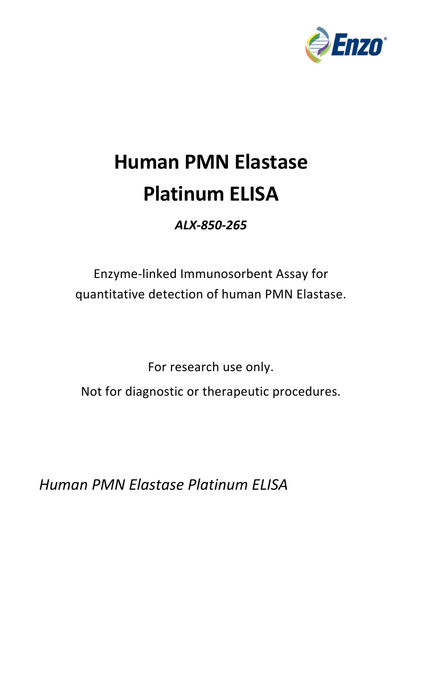

# **Human PMN Elastase Platinum ELISA**

# *ALX‐850‐265*

# Enzyme‐linked Immunosorbent Assay for quantitative detection of human PMN Elastase.

For research use only.

Not for diagnostic or therapeutic procedures.

*Human PMN Elastase Platinum ELISA*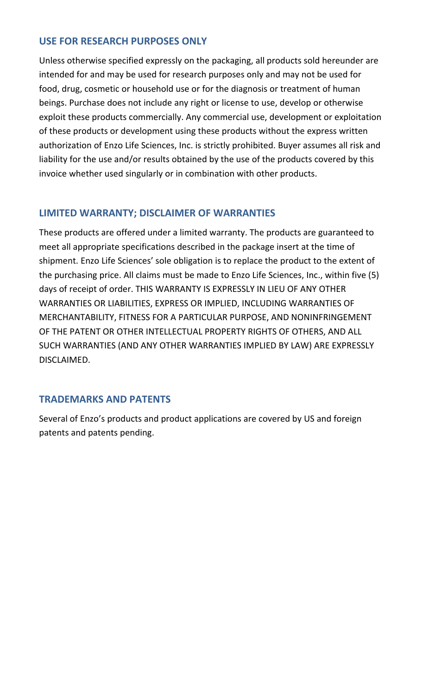#### **USE FOR RESEARCH PURPOSES ONLY**

Unless otherwise specified expressly on the packaging, all products sold hereunder are intended for and may be used for research purposes only and may not be used for food, drug, cosmetic or household use or for the diagnosis or treatment of human beings. Purchase does not include any right or license to use, develop or otherwise exploit these products commercially. Any commercial use, development or exploitation of these products or development using these products without the express written authorization of Enzo Life Sciences, Inc. is strictly prohibited. Buyer assumes all risk and liability for the use and/or results obtained by the use of the products covered by this invoice whether used singularly or in combination with other products.

#### **LIMITED WARRANTY; DISCLAIMER OF WARRANTIES**

These products are offered under a limited warranty. The products are guaranteed to meet all appropriate specifications described in the package insert at the time of shipment. Enzo Life Sciences' sole obligation is to replace the product to the extent of the purchasing price. All claims must be made to Enzo Life Sciences, Inc., within five (5) days of receipt of order. THIS WARRANTY IS EXPRESSLY IN LIEU OF ANY OTHER WARRANTIES OR LIABILITIES, EXPRESS OR IMPLIED, INCLUDING WARRANTIES OF MERCHANTABILITY, FITNESS FOR A PARTICULAR PURPOSE, AND NONINFRINGEMENT OF THE PATENT OR OTHER INTELLECTUAL PROPERTY RIGHTS OF OTHERS, AND ALL SUCH WARRANTIES (AND ANY OTHER WARRANTIES IMPLIED BY LAW) ARE EXPRESSLY DISCLAIMED.

# **TRADEMARKS AND PATENTS**

Several of Enzo's products and product applications are covered by US and foreign patents and patents pending.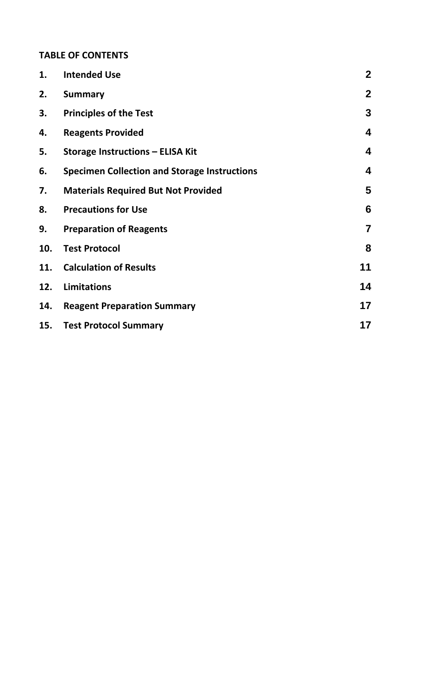# **TABLE OF CONTENTS**

| 1.  | <b>Intended Use</b>                                 | $\boldsymbol{2}$        |
|-----|-----------------------------------------------------|-------------------------|
| 2.  | <b>Summary</b>                                      | $\mathbf{2}$            |
| 3.  | <b>Principles of the Test</b>                       | $\mathbf{3}$            |
| 4.  | <b>Reagents Provided</b>                            | 4                       |
| 5.  | <b>Storage Instructions - ELISA Kit</b>             | 4                       |
| 6.  | <b>Specimen Collection and Storage Instructions</b> | $\overline{\mathbf{4}}$ |
| 7.  | <b>Materials Required But Not Provided</b>          | 5                       |
| 8.  | <b>Precautions for Use</b>                          | $6\phantom{1}6$         |
| 9.  | <b>Preparation of Reagents</b>                      | $\overline{7}$          |
| 10. | <b>Test Protocol</b>                                | 8                       |
| 11. | <b>Calculation of Results</b>                       | 11                      |
| 12. | <b>Limitations</b>                                  | 14                      |
| 14. | <b>Reagent Preparation Summary</b>                  | 17                      |
| 15. | <b>Test Protocol Summary</b>                        | 17                      |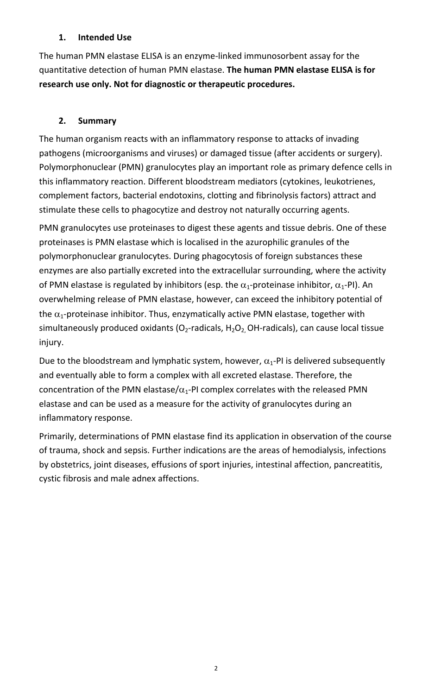#### **1. Intended Use**

The human PMN elastase ELISA is an enzyme‐linked immunosorbent assay for the quantitative detection of human PMN elastase. **The human PMN elastase ELISA is for research use only. Not for diagnostic or therapeutic procedures.**

# **2. Summary**

The human organism reacts with an inflammatory response to attacks of invading pathogens (microorganisms and viruses) or damaged tissue (after accidents or surgery). Polymorphonuclear (PMN) granulocytes play an important role as primary defence cells in this inflammatory reaction. Different bloodstream mediators (cytokines, leukotrienes, complement factors, bacterial endotoxins, clotting and fibrinolysis factors) attract and stimulate these cells to phagocytize and destroy not naturally occurring agents.

PMN granulocytes use proteinases to digest these agents and tissue debris. One of these proteinases is PMN elastase which is localised in the azurophilic granules of the polymorphonuclear granulocytes. During phagocytosis of foreign substances these enzymes are also partially excreted into the extracellular surrounding, where the activity of PMN elastase is regulated by inhibitors (esp. the  $\alpha_1$ -proteinase inhibitor,  $\alpha_1$ -PI). An overwhelming release of PMN elastase, however, can exceed the inhibitory potential of the  $\alpha_1$ -proteinase inhibitor. Thus, enzymatically active PMN elastase, together with simultaneously produced oxidants (O<sub>2</sub>-radicals, H<sub>2</sub>O<sub>2</sub> OH-radicals), can cause local tissue injury.

Due to the bloodstream and lymphatic system, however,  $\alpha_1$ -PI is delivered subsequently and eventually able to form a complex with all excreted elastase. Therefore, the concentration of the PMN elastase/ $\alpha_1$ -PI complex correlates with the released PMN elastase and can be used as a measure for the activity of granulocytes during an inflammatory response.

Primarily, determinations of PMN elastase find its application in observation of the course of trauma, shock and sepsis. Further indications are the areas of hemodialysis, infections by obstetrics, joint diseases, effusions of sport injuries, intestinal affection, pancreatitis, cystic fibrosis and male adnex affections.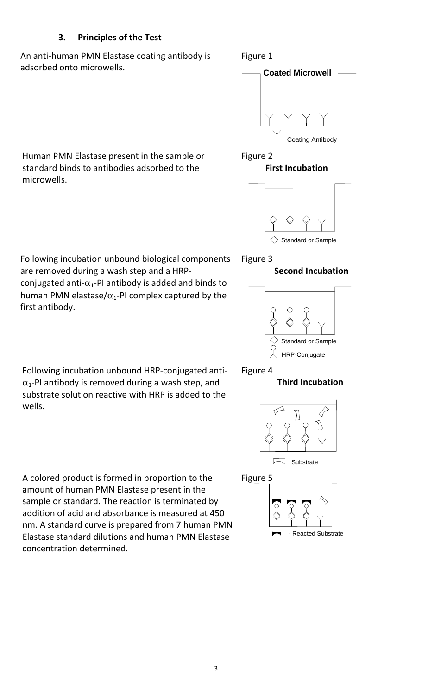#### **3. Principles of the Test**

An anti‐human PMN Elastase coating antibody is adsorbed onto microwells.

#### Figure 1



Human PMN Elastase present in the sample or standard binds to antibodies adsorbed to the microwells.





 Following incubation unbound biological components are removed during a wash step and a HRP‐ conjugated anti- $\alpha_1$ -PI antibody is added and binds to human PMN elastase/ $\alpha_1$ -PI complex captured by the

first antibody.

#### Figure 3

#### **Second Incubation**



 Following incubation unbound HRP‐conjugated anti‐  $\alpha_1$ -PI antibody is removed during a wash step, and substrate solution reactive with HRP is added to the wells.

#### Figure 4

#### **Third Incubation**



Figure 5



A colored product is formed in proportion to the amount of human PMN Elastase present in the sample or standard. The reaction is terminated by addition of acid and absorbance is measured at 450 nm. A standard curve is prepared from 7 human PMN Elastase standard dilutions and human PMN Elastase concentration determined.

3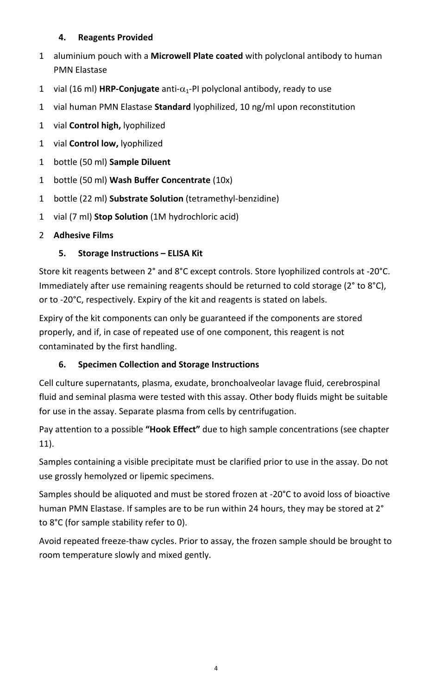# **4. Reagents Provided**

- 1 aluminium pouch with a **Microwell Plate coated** with polyclonal antibody to human PMN Elastase
- 1 vial (16 ml) **HRP-Conjugate** anti- $\alpha_1$ -PI polyclonal antibody, ready to use
- 1 vial human PMN Elastase **Standard** lyophilized, 10 ng/ml upon reconstitution
- 1 vial **Control high,** lyophilized
- 1 vial **Control low,** lyophilized
- 1 bottle (50 ml) **Sample Diluent**
- 1 bottle (50 ml) **Wash Buffer Concentrate** (10x)
- 1 bottle (22 ml) **Substrate Solution** (tetramethyl‐benzidine)
- 1 vial (7 ml) **Stop Solution** (1M hydrochloric acid)

# 2 **Adhesive Films**

# **5. Storage Instructions – ELISA Kit**

Store kit reagents between 2° and 8°C except controls. Store lyophilized controls at ‐20°C. Immediately after use remaining reagents should be returned to cold storage (2° to 8°C), or to ‐20°C, respectively. Expiry of the kit and reagents is stated on labels.

Expiry of the kit components can only be guaranteed if the components are stored properly, and if, in case of repeated use of one component, this reagent is not contaminated by the first handling.

# **6. Specimen Collection and Storage Instructions**

Cell culture supernatants, plasma, exudate, bronchoalveolar lavage fluid, cerebrospinal fluid and seminal plasma were tested with this assay. Other body fluids might be suitable for use in the assay. Separate plasma from cells by centrifugation.

Pay attention to a possible **"Hook Effect"** due to high sample concentrations (see chapter 11).

Samples containing a visible precipitate must be clarified prior to use in the assay. Do not use grossly hemolyzed or lipemic specimens.

Samples should be aliquoted and must be stored frozen at ‐20°C to avoid loss of bioactive human PMN Elastase. If samples are to be run within 24 hours, they may be stored at 2° to 8°C (for sample stability refer to 0).

Avoid repeated freeze‐thaw cycles. Prior to assay, the frozen sample should be brought to room temperature slowly and mixed gently.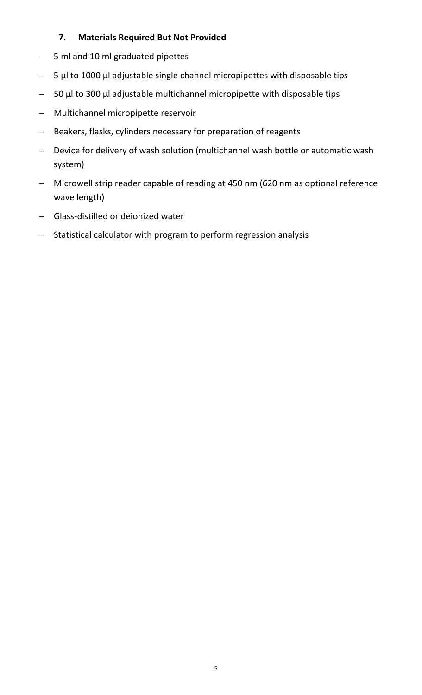#### **7. Materials Required But Not Provided**

- 5 ml and 10 ml graduated pipettes
- $-$  5 µl to 1000 µl adjustable single channel micropipettes with disposable tips
- 50 µl to 300 µl adjustable multichannel micropipette with disposable tips
- Multichannel micropipette reservoir
- Beakers, flasks, cylinders necessary for preparation of reagents
- Device for delivery of wash solution (multichannel wash bottle or automatic wash system)
- Microwell strip reader capable of reading at 450 nm (620 nm as optional reference wave length)
- Glass‐distilled or deionized water
- Statistical calculator with program to perform regression analysis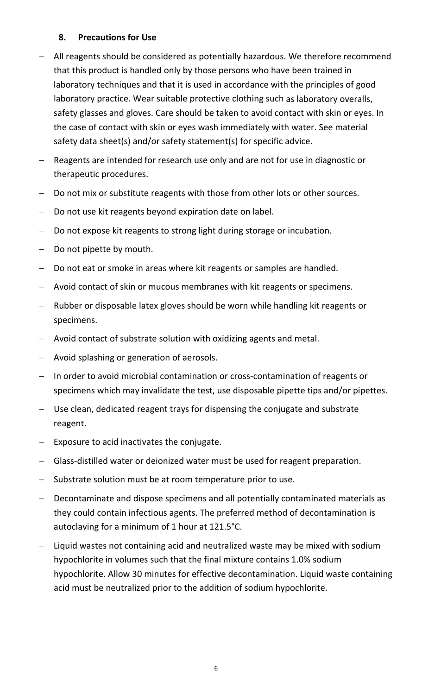#### **8. Precautions for Use**

- All reagents should be considered as potentially hazardous. We therefore recommend that this product is handled only by those persons who have been trained in laboratory techniques and that it is used in accordance with the principles of good laboratory practice. Wear suitable protective clothing such as laboratory overalls, safety glasses and gloves. Care should be taken to avoid contact with skin or eyes. In the case of contact with skin or eyes wash immediately with water. See material safety data sheet(s) and/or safety statement(s) for specific advice.
- Reagents are intended for research use only and are not for use in diagnostic or therapeutic procedures.
- Do not mix or substitute reagents with those from other lots or other sources.
- Do not use kit reagents beyond expiration date on label.
- Do not expose kit reagents to strong light during storage or incubation.
- Do not pipette by mouth.
- Do not eat or smoke in areas where kit reagents or samples are handled.
- Avoid contact of skin or mucous membranes with kit reagents or specimens.
- Rubber or disposable latex gloves should be worn while handling kit reagents or specimens.
- Avoid contact of substrate solution with oxidizing agents and metal.
- Avoid splashing or generation of aerosols.
- In order to avoid microbial contamination or cross-contamination of reagents or specimens which may invalidate the test, use disposable pipette tips and/or pipettes.
- Use clean, dedicated reagent trays for dispensing the conjugate and substrate reagent.
- Exposure to acid inactivates the conjugate.
- Glass-distilled water or deionized water must be used for reagent preparation.
- Substrate solution must be at room temperature prior to use.
- Decontaminate and dispose specimens and all potentially contaminated materials as they could contain infectious agents. The preferred method of decontamination is autoclaving for a minimum of 1 hour at 121.5°C.
- Liquid wastes not containing acid and neutralized waste may be mixed with sodium hypochlorite in volumes such that the final mixture contains 1.0% sodium hypochlorite. Allow 30 minutes for effective decontamination. Liquid waste containing acid must be neutralized prior to the addition of sodium hypochlorite.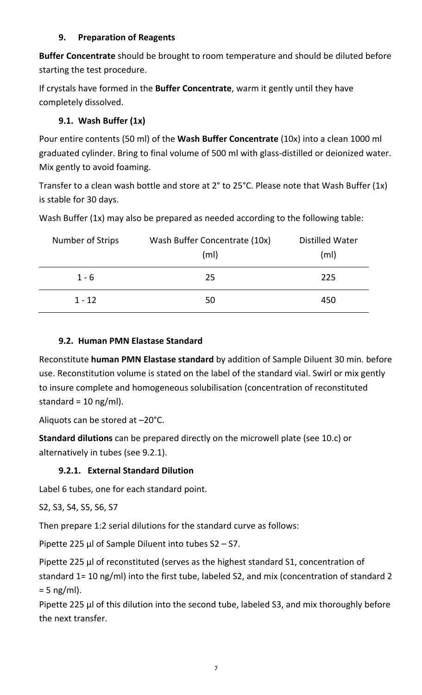#### **9. Preparation of Reagents**

**Buffer Concentrate** should be brought to room temperature and should be diluted before starting the test procedure.

If crystals have formed in the **Buffer Concentrate**, warm it gently until they have completely dissolved.

# **9.1. Wash Buffer (1x)**

Pour entire contents (50 ml) of the **Wash Buffer Concentrate** (10x) into a clean 1000 ml graduated cylinder. Bring to final volume of 500 ml with glass‐distilled or deionized water. Mix gently to avoid foaming.

Transfer to a clean wash bottle and store at 2° to 25°C. Please note that Wash Buffer (1x) is stable for 30 days.

Wash Buffer (1x) may also be prepared as needed according to the following table:

| Number of Strips | Wash Buffer Concentrate (10x)<br>(ml) | Distilled Water<br>(m <sub>l</sub> ) |
|------------------|---------------------------------------|--------------------------------------|
| $1 - 6$          | 25                                    | 225                                  |
| $1 - 12$         | 50                                    | 450                                  |

# **9.2. Human PMN Elastase Standard**

Reconstitute **human PMN Elastase standard** by addition of Sample Diluent 30 min. before use. Reconstitution volume is stated on the label of the standard vial. Swirl or mix gently to insure complete and homogeneous solubilisation (concentration of reconstituted standard =  $10$  ng/ml).

Aliquots can be stored at –20°C.

**Standard dilutions** can be prepared directly on the microwell plate (see 10.c) or alternatively in tubes (see 9.2.1).

# **9.2.1. External Standard Dilution**

Label 6 tubes, one for each standard point.

S2, S3, S4, S5, S6, S7

Then prepare 1:2 serial dilutions for the standard curve as follows:

Pipette 225 µl of Sample Diluent into tubes S2 – S7.

Pipette 225 µl of reconstituted (serves as the highest standard S1, concentration of standard 1= 10 ng/ml) into the first tube, labeled S2, and mix (concentration of standard 2  $= 5$  ng/ml).

Pipette 225 µl of this dilution into the second tube, labeled S3, and mix thoroughly before the next transfer.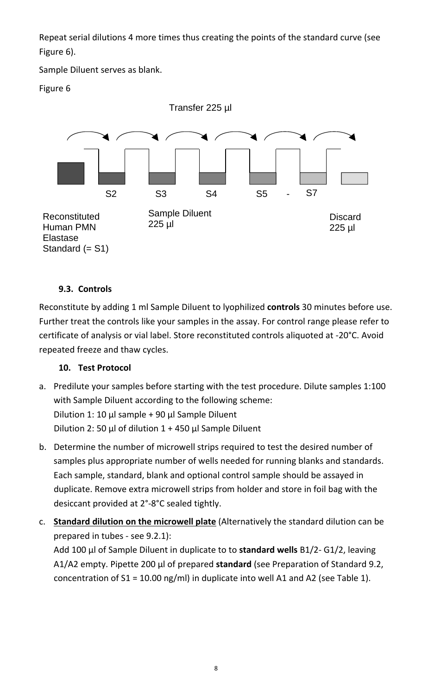Repeat serial dilutions 4 more times thus creating the points of the standard curve (see Figure 6).

Sample Diluent serves as blank.

Figure 6



# **9.3. Controls**

Reconstitute by adding 1 ml Sample Diluent to lyophilized **controls** 30 minutes before use. Further treat the controls like your samples in the assay. For control range please refer to certificate of analysis or vial label. Store reconstituted controls aliquoted at ‐20°C. Avoid repeated freeze and thaw cycles.

# **10. Test Protocol**

- a. Predilute your samples before starting with the test procedure. Dilute samples 1:100 with Sample Diluent according to the following scheme: Dilution 1: 10  $\mu$ l sample + 90  $\mu$ l Sample Diluent Dilution 2: 50 µl of dilution  $1 + 450$  µl Sample Diluent
- b. Determine the number of microwell strips required to test the desired number of samples plus appropriate number of wells needed for running blanks and standards. Each sample, standard, blank and optional control sample should be assayed in duplicate. Remove extra microwell strips from holder and store in foil bag with the desiccant provided at 2°‐8°C sealed tightly.
- c. **Standard dilution on the microwell plate** (Alternatively the standard dilution can be prepared in tubes ‐ see 9.2.1):

Add 100 µl of Sample Diluent in duplicate to to **standard wells** B1/2‐ G1/2, leaving A1/A2 empty. Pipette 200 µl of prepared **standard** (see Preparation of Standard 9.2, concentration of  $S1 = 10.00$  ng/ml) in duplicate into well A1 and A2 (see Table 1).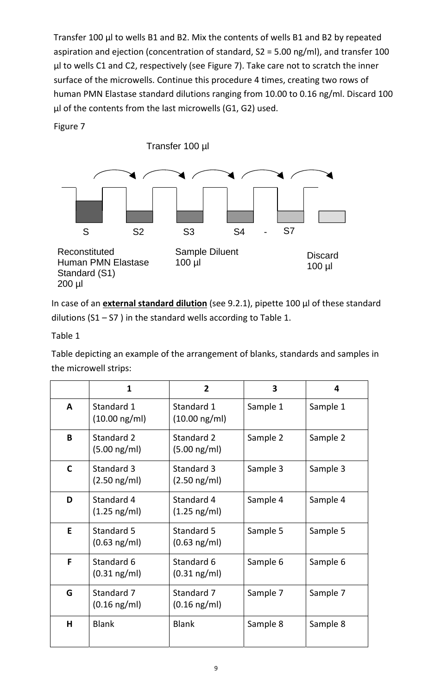Transfer 100 µl to wells B1 and B2. Mix the contents of wells B1 and B2 by repeated aspiration and ejection (concentration of standard, S2 = 5.00 ng/ml), and transfer 100 µl to wells C1 and C2, respectively (see Figure 7). Take care not to scratch the inner surface of the microwells. Continue this procedure 4 times, creating two rows of human PMN Elastase standard dilutions ranging from 10.00 to 0.16 ng/ml. Discard 100 µl of the contents from the last microwells (G1, G2) used.

Figure 7

Transfer 100 µl



In case of an **external standard dilution** (see 9.2.1), pipette 100 µl of these standard dilutions ( $S1 - S7$ ) in the standard wells according to Table 1.

Table 1

Table depicting an example of the arrangement of blanks, standards and samples in the microwell strips:

|             | $\mathbf{1}$                          | $\overline{2}$                        | 3        | 4        |
|-------------|---------------------------------------|---------------------------------------|----------|----------|
| A           | Standard 1<br>$(10.00 \text{ ng/ml})$ | Standard 1<br>$(10.00 \text{ ng/ml})$ | Sample 1 | Sample 1 |
| B           | Standard 2<br>$(5.00 \text{ ng/ml})$  | Standard 2<br>$(5.00 \text{ ng/ml})$  | Sample 2 | Sample 2 |
| $\mathbf C$ | Standard 3<br>$(2.50 \text{ ng/ml})$  | Standard 3<br>$(2.50 \text{ ng/ml})$  | Sample 3 | Sample 3 |
| D           | Standard 4<br>$(1.25 \text{ ng/ml})$  | Standard 4<br>$(1.25 \text{ ng/ml})$  | Sample 4 | Sample 4 |
| E           | Standard 5<br>$(0.63 \text{ ng/ml})$  | Standard 5<br>$(0.63 \text{ ng/ml})$  | Sample 5 | Sample 5 |
| F           | Standard 6<br>$(0.31 \text{ ng/ml})$  | Standard 6<br>$(0.31 \text{ ng/ml})$  | Sample 6 | Sample 6 |
| G           | Standard 7<br>$(0.16 \text{ ng/ml})$  | Standard 7<br>$(0.16 \text{ ng/ml})$  | Sample 7 | Sample 7 |
| H           | <b>Blank</b>                          | <b>Blank</b>                          | Sample 8 | Sample 8 |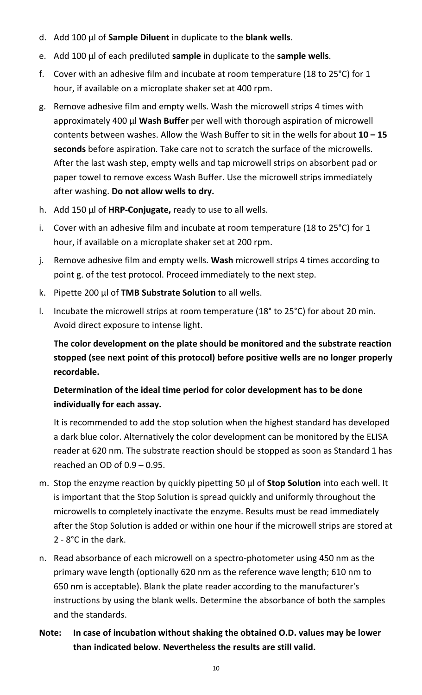- d. Add 100 µl of **Sample Diluent** in duplicate to the **blank wells**.
- e. Add 100 µl of each prediluted **sample** in duplicate to the **sample wells**.
- f. Cover with an adhesive film and incubate at room temperature (18 to 25°C) for 1 hour, if available on a microplate shaker set at 400 rpm.
- g. Remove adhesive film and empty wells. Wash the microwell strips 4 times with approximately 400 µl **Wash Buffer** per well with thorough aspiration of microwell contents between washes. Allow the Wash Buffer to sit in the wells for about **10 – 15 seconds** before aspiration. Take care not to scratch the surface of the microwells. After the last wash step, empty wells and tap microwell strips on absorbent pad or paper towel to remove excess Wash Buffer. Use the microwell strips immediately after washing. **Do not allow wells to dry.**
- h. Add 150 µl of **HRP‐Conjugate,** ready to use to all wells.
- i. Cover with an adhesive film and incubate at room temperature (18 to 25°C) for 1 hour, if available on a microplate shaker set at 200 rpm.
- j. Remove adhesive film and empty wells. **Wash** microwell strips 4 times according to point g. of the test protocol. Proceed immediately to the next step.
- k. Pipette 200 µl of **TMB Substrate Solution** to all wells.
- l. Incubate the microwell strips at room temperature (18° to 25°C) for about 20 min. Avoid direct exposure to intense light.

**The color development on the plate should be monitored and the substrate reaction stopped (see next point of this protocol) before positive wells are no longer properly recordable.**

# **Determination of the ideal time period for color development has to be done individually for each assay.**

It is recommended to add the stop solution when the highest standard has developed a dark blue color. Alternatively the color development can be monitored by the ELISA reader at 620 nm. The substrate reaction should be stopped as soon as Standard 1 has reached an OD of 0.9 – 0.95.

- m. Stop the enzyme reaction by quickly pipetting 50 µl of **Stop Solution** into each well. It is important that the Stop Solution is spread quickly and uniformly throughout the microwells to completely inactivate the enzyme. Results must be read immediately after the Stop Solution is added or within one hour if the microwell strips are stored at 2 ‐ 8°C in the dark.
- n. Read absorbance of each microwell on a spectro‐photometer using 450 nm as the primary wave length (optionally 620 nm as the reference wave length; 610 nm to 650 nm is acceptable). Blank the plate reader according to the manufacturer's instructions by using the blank wells. Determine the absorbance of both the samples and the standards.

# **Note: In case of incubation without shaking the obtained O.D. values may be lower than indicated below. Nevertheless the results are still valid.**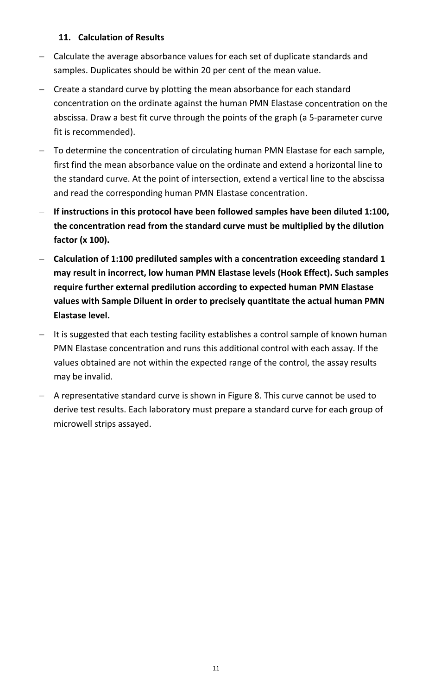#### **11. Calculation of Results**

- Calculate the average absorbance values for each set of duplicate standards and samples. Duplicates should be within 20 per cent of the mean value.
- Create a standard curve by plotting the mean absorbance for each standard concentration on the ordinate against the human PMN Elastase concentration on the abscissa. Draw a best fit curve through the points of the graph (a 5‐parameter curve fit is recommended).
- To determine the concentration of circulating human PMN Elastase for each sample, first find the mean absorbance value on the ordinate and extend a horizontal line to the standard curve. At the point of intersection, extend a vertical line to the abscissa and read the corresponding human PMN Elastase concentration.
- **If instructions in this protocol have been followed samples have been diluted 1:100, the concentration read from the standard curve must be multiplied by the dilution factor (x 100).**
- **Calculation of 1:100 prediluted samples with a concentration exceeding standard 1 may result in incorrect, low human PMN Elastase levels (Hook Effect). Such samples require further external predilution according to expected human PMN Elastase values with Sample Diluent in order to precisely quantitate the actual human PMN Elastase level.**
- It is suggested that each testing facility establishes a control sample of known human PMN Elastase concentration and runs this additional control with each assay. If the values obtained are not within the expected range of the control, the assay results may be invalid.
- A representative standard curve is shown in Figure 8. This curve cannot be used to derive test results. Each laboratory must prepare a standard curve for each group of microwell strips assayed.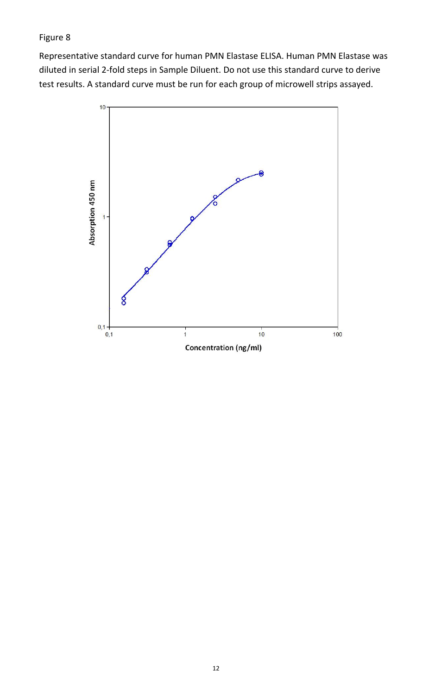# Figure 8

Representative standard curve for human PMN Elastase ELISA. Human PMN Elastase was diluted in serial 2‐fold steps in Sample Diluent. Do not use this standard curve to derive test results. A standard curve must be run for each group of microwell strips assayed.

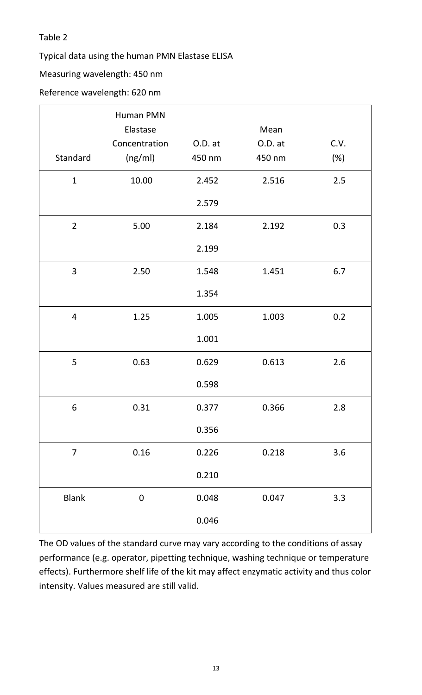#### Table 2

Typical data using the human PMN Elastase ELISA

#### Measuring wavelength: 450 nm

#### Reference wavelength: 620 nm

|                | <b>Human PMN</b><br>Elastase |         | Mean    |      |
|----------------|------------------------------|---------|---------|------|
|                |                              |         |         |      |
|                | Concentration                | O.D. at | O.D. at | C.V. |
| Standard       | (ng/ml)                      | 450 nm  | 450 nm  | (%)  |
| $\mathbf{1}$   | 10.00                        | 2.452   | 2.516   | 2.5  |
|                |                              | 2.579   |         |      |
| $\overline{2}$ | 5.00                         | 2.184   | 2.192   | 0.3  |
|                |                              | 2.199   |         |      |
| 3              | 2.50                         | 1.548   | 1.451   | 6.7  |
|                |                              | 1.354   |         |      |
| 4              | 1.25                         | 1.005   | 1.003   | 0.2  |
|                |                              | 1.001   |         |      |
| 5              | 0.63                         | 0.629   | 0.613   | 2.6  |
|                |                              | 0.598   |         |      |
| 6              | 0.31                         | 0.377   | 0.366   | 2.8  |
|                |                              | 0.356   |         |      |
| $\overline{7}$ | 0.16                         | 0.226   | 0.218   | 3.6  |
|                |                              | 0.210   |         |      |
| <b>Blank</b>   | $\boldsymbol{0}$             | 0.048   | 0.047   | 3.3  |
|                |                              | 0.046   |         |      |

The OD values of the standard curve may vary according to the conditions of assay performance (e.g. operator, pipetting technique, washing technique or temperature effects). Furthermore shelf life of the kit may affect enzymatic activity and thus color intensity. Values measured are still valid.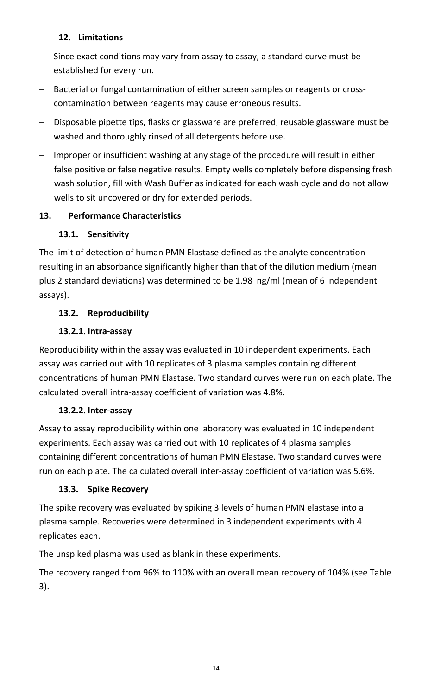#### **12. Limitations**

- Since exact conditions may vary from assay to assay, a standard curve must be established for every run.
- Bacterial or fungal contamination of either screen samples or reagents or crosscontamination between reagents may cause erroneous results.
- Disposable pipette tips, flasks or glassware are preferred, reusable glassware must be washed and thoroughly rinsed of all detergents before use.
- Improper or insufficient washing at any stage of the procedure will result in either false positive or false negative results. Empty wells completely before dispensing fresh wash solution, fill with Wash Buffer as indicated for each wash cycle and do not allow wells to sit uncovered or dry for extended periods.

# **13. Performance Characteristics**

# **13.1. Sensitivity**

The limit of detection of human PMN Elastase defined as the analyte concentration resulting in an absorbance significantly higher than that of the dilution medium (mean plus 2 standard deviations) was determined to be 1.98 ng/ml (mean of 6 independent assays).

# **13.2. Reproducibility**

# **13.2.1. Intra‐assay**

Reproducibility within the assay was evaluated in 10 independent experiments. Each assay was carried out with 10 replicates of 3 plasma samples containing different concentrations of human PMN Elastase. Two standard curves were run on each plate. The calculated overall intra‐assay coefficient of variation was 4.8%.

# **13.2.2. Inter‐assay**

Assay to assay reproducibility within one laboratory was evaluated in 10 independent experiments. Each assay was carried out with 10 replicates of 4 plasma samples containing different concentrations of human PMN Elastase. Two standard curves were run on each plate. The calculated overall inter-assay coefficient of variation was 5.6%.

# **13.3. Spike Recovery**

The spike recovery was evaluated by spiking 3 levels of human PMN elastase into a plasma sample. Recoveries were determined in 3 independent experiments with 4 replicates each.

The unspiked plasma was used as blank in these experiments.

The recovery ranged from 96% to 110% with an overall mean recovery of 104% (see Table 3).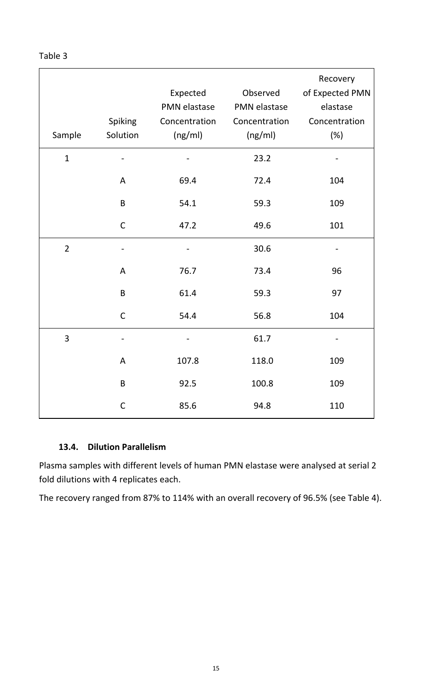| abie |  |
|------|--|
|      |  |

|                | Spiking                  | Expected<br>PMN elastase<br>Concentration | Observed<br>PMN elastase<br>Concentration | Recovery<br>of Expected PMN<br>elastase<br>Concentration |
|----------------|--------------------------|-------------------------------------------|-------------------------------------------|----------------------------------------------------------|
| Sample         | Solution                 | (ng/ml)                                   | (ng/ml)                                   | $(\%)$                                                   |
| $\mathbf{1}$   |                          |                                           | 23.2                                      |                                                          |
|                | A                        | 69.4                                      | 72.4                                      | 104                                                      |
|                | $\mathsf B$              | 54.1                                      | 59.3                                      | 109                                                      |
|                | $\mathsf C$              | 47.2                                      | 49.6                                      | 101                                                      |
| $\overline{2}$ | $\overline{\phantom{0}}$ |                                           | 30.6                                      |                                                          |
|                | $\mathsf A$              | 76.7                                      | 73.4                                      | 96                                                       |
|                | $\sf B$                  | 61.4                                      | 59.3                                      | 97                                                       |
|                | $\mathsf C$              | 54.4                                      | 56.8                                      | 104                                                      |
| 3              |                          |                                           | 61.7                                      |                                                          |
|                | A                        | 107.8                                     | 118.0                                     | 109                                                      |
|                | $\mathsf B$              | 92.5                                      | 100.8                                     | 109                                                      |
|                | $\mathsf{C}$             | 85.6                                      | 94.8                                      | 110                                                      |

#### **13.4. Dilution Parallelism**

Plasma samples with different levels of human PMN elastase were analysed at serial 2 fold dilutions with 4 replicates each.

The recovery ranged from 87% to 114% with an overall recovery of 96.5% (see Table 4).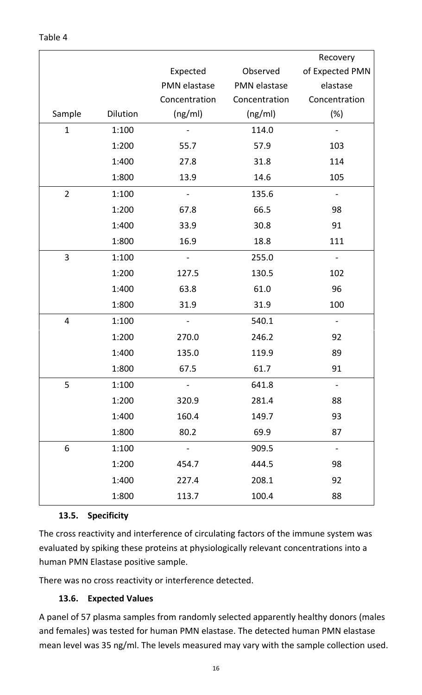|                |          |                              |               | Recovery                     |
|----------------|----------|------------------------------|---------------|------------------------------|
|                |          | Expected                     | Observed      | of Expected PMN              |
|                |          | <b>PMN</b> elastase          | PMN elastase  | elastase                     |
|                |          | Concentration                | Concentration | Concentration                |
| Sample         | Dilution | (ng/ml)                      | (ng/ml)       | $(\%)$                       |
| $\mathbf{1}$   | 1:100    |                              | 114.0         |                              |
|                | 1:200    | 55.7                         | 57.9          | 103                          |
|                | 1:400    | 27.8                         | 31.8          | 114                          |
|                | 1:800    | 13.9                         | 14.6          | 105                          |
| $\overline{2}$ | 1:100    | $\qquad \qquad \blacksquare$ | 135.6         | $\qquad \qquad \blacksquare$ |
|                | 1:200    | 67.8                         | 66.5          | 98                           |
|                | 1:400    | 33.9                         | 30.8          | 91                           |
|                | 1:800    | 16.9                         | 18.8          | 111                          |
| 3              | 1:100    |                              | 255.0         |                              |
|                | 1:200    | 127.5                        | 130.5         | 102                          |
|                | 1:400    | 63.8                         | 61.0          | 96                           |
|                | 1:800    | 31.9                         | 31.9          | 100                          |
| $\overline{4}$ | 1:100    |                              | 540.1         |                              |
|                | 1:200    | 270.0                        | 246.2         | 92                           |
|                | 1:400    | 135.0                        | 119.9         | 89                           |
|                | 1:800    | 67.5                         | 61.7          | 91                           |
| 5              | 1:100    |                              | 641.8         |                              |
|                | 1:200    | 320.9                        | 281.4         | 88                           |
|                | 1:400    | 160.4                        | 149.7         | 93                           |
|                | 1:800    | 80.2                         | 69.9          | 87                           |
| 6              | 1:100    |                              | 909.5         |                              |
|                | 1:200    | 454.7                        | 444.5         | 98                           |
|                | 1:400    | 227.4                        | 208.1         | 92                           |
|                | 1:800    | 113.7                        | 100.4         | 88                           |

#### **13.5. Specificity**

The cross reactivity and interference of circulating factors of the immune system was evaluated by spiking these proteins at physiologically relevant concentrations into a human PMN Elastase positive sample.

There was no cross reactivity or interference detected.

#### **13.6. Expected Values**

A panel of 57 plasma samples from randomly selected apparently healthy donors (males and females) was tested for human PMN elastase. The detected human PMN elastase mean level was 35 ng/ml. The levels measured may vary with the sample collection used.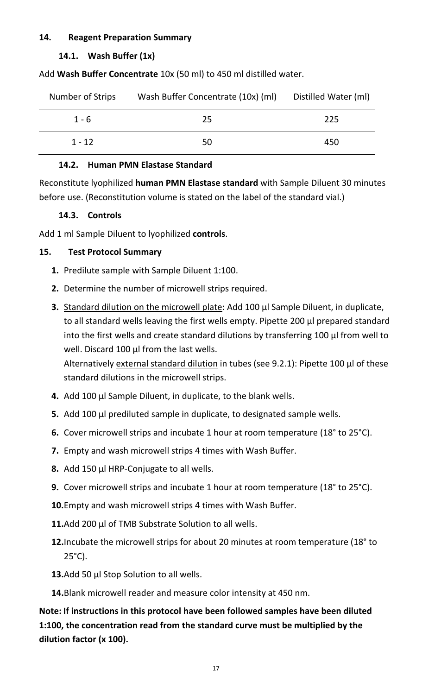#### **14. Reagent Preparation Summary**

#### **14.1. Wash Buffer (1x)**

Add **Wash Buffer Concentrate** 10x (50 ml) to 450 ml distilled water.

| Number of Strips | Wash Buffer Concentrate (10x) (ml) | Distilled Water (ml) |
|------------------|------------------------------------|----------------------|
| $1 - 6$          | 25                                 | 225                  |
| $1 - 12$         | 50                                 | 450                  |

#### **14.2. Human PMN Elastase Standard**

Reconstitute lyophilized **human PMN Elastase standard** with Sample Diluent 30 minutes before use. (Reconstitution volume is stated on the label of the standard vial.)

#### **14.3. Controls**

Add 1 ml Sample Diluent to lyophilized **controls**.

#### **15. Test Protocol Summary**

- **1.** Predilute sample with Sample Diluent 1:100.
- **2.** Determine the number of microwell strips required.
- **3.** Standard dilution on the microwell plate: Add 100 µl Sample Diluent, in duplicate, to all standard wells leaving the first wells empty. Pipette 200 µl prepared standard into the first wells and create standard dilutions by transferring 100 µl from well to well. Discard 100 µl from the last wells.

Alternatively external standard dilution in tubes (see 9.2.1): Pipette 100 µl of these standard dilutions in the microwell strips.

- **4.** Add 100 µl Sample Diluent, in duplicate, to the blank wells.
- **5.** Add 100 µl prediluted sample in duplicate, to designated sample wells.
- **6.** Cover microwell strips and incubate 1 hour at room temperature (18° to 25°C).
- **7.** Empty and wash microwell strips 4 times with Wash Buffer.
- **8.** Add 150 µl HRP‐Conjugate to all wells.
- **9.** Cover microwell strips and incubate 1 hour at room temperature (18° to 25°C).
- **10.**Empty and wash microwell strips 4 times with Wash Buffer.
- 11.Add 200 µl of TMB Substrate Solution to all wells.
- **12.**Incubate the microwell strips for about 20 minutes at room temperature (18° to 25°C).
- 13.Add 50 µl Stop Solution to all wells.
- **14.**Blank microwell reader and measure color intensity at 450 nm.

**Note: If instructions in this protocol have been followed samples have been diluted 1:100, the concentration read from the standard curve must be multiplied by the dilution factor (x 100).**